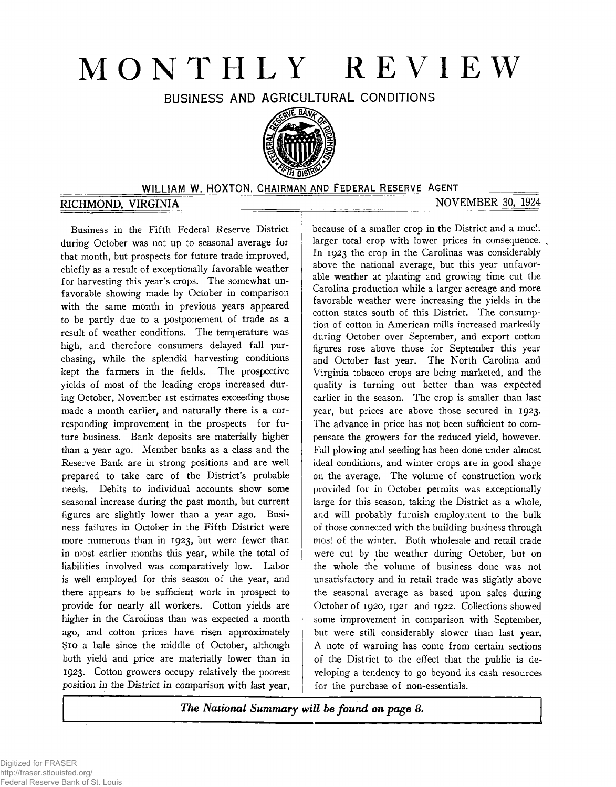# MONTHLY REVIEW

BUSINESS AND AGRICULTURAL CONDITIONS



## WILLIAM W. HOXTON, CHAIRMAN AND FEDERAL RESERVE AGENT

# RICHMOND, VIRGINIA NOVEMBER 30, 1924

Business in the Fifth Federal Reserve District during October was not up to seasonal average for that month, but prospects for future trade improved, chiefly as a result of exceptionally favorable weather for harvesting this year's crops. The somewhat unfavorable showing made by October in comparison with the same month in previous years appeared to be partly due to a postponement of trade as a result of weather conditions. The temperature was high, and therefore consumers delayed fall purchasing, while the splendid harvesting conditions kept the farmers in the fields. The prospective yields of most of the leading crops increased during October, November ist estimates exceeding those made a month earlier, and naturally there is a corresponding improvement in the prospects for future business. Bank deposits are materially higher than a year ago. Member banks as a class and the Reserve Bank are in strong positions and are well prepared to take care of the District's probable needs. Debits to individual accounts show some seasonal increase during the past month, but current figures are slightly lower than a year ago. Business failures in October in the Fifth District were more numerous than in 1923, but were fewer than in most earlier months this year, while the total of liabilities involved was comparatively low. Labor is well employed for this season of the year, and there appears to be sufficient work in prospect to provide for nearly all workers. Cotton yields are higher in the Carolinas than was expected a month ago, and cotton prices have risen approximately \$10 a bale since the middle of October, although both yield and price are materially lower than in 1923. Cotton growers occupy relatively the poorest *position in* the District in comparison with last year,

because of a smaller crop in the District and a much larger total crop with lower prices in consequence. In 1923 the crop in the Carolinas was considerably above the national average, but this year unfavorable weather at planting and growing time cut the Carolina production while a larger acreage and more favorable weather were increasing the yields in the cotton states south of this District. The consumption of cotton in American mills increased markedly during October over September, and export cotton figures rose above those for September this year and October last year. The North Carolina and Virginia tobacco crops are being marketed, and the quality is turning out better than was expected earlier in the season. The crop is smaller than last year, but prices are above those secured in 1923. The advance in price has not been sufficient to compensate the growers for the reduced yield, however. Fall plowing and seeding has been done under almost ideal conditions, and winter crops are in good shape on the average. The volume of construction work provided for in October permits was exceptionally large for this season, taking the District as a whole, and will probably furnish employment to the bulk of those connected with the building business through most of the winter. Both wholesale and retail trade were cut by the weather during October, but on the whole the volume of business done was not unsatisfactory and in retail trade was slightly above the seasonal average as based upon sales during October of 1920, 1921 and 1922. Collections showed some improvement in comparison with September, but were still considerably slower than last year. A note of warning has come from certain sections of the District to the effect that the public is developing a tendency to go beyond its cash resources for the purchase of non-essentials.

*The National Summary will be found on page 8.*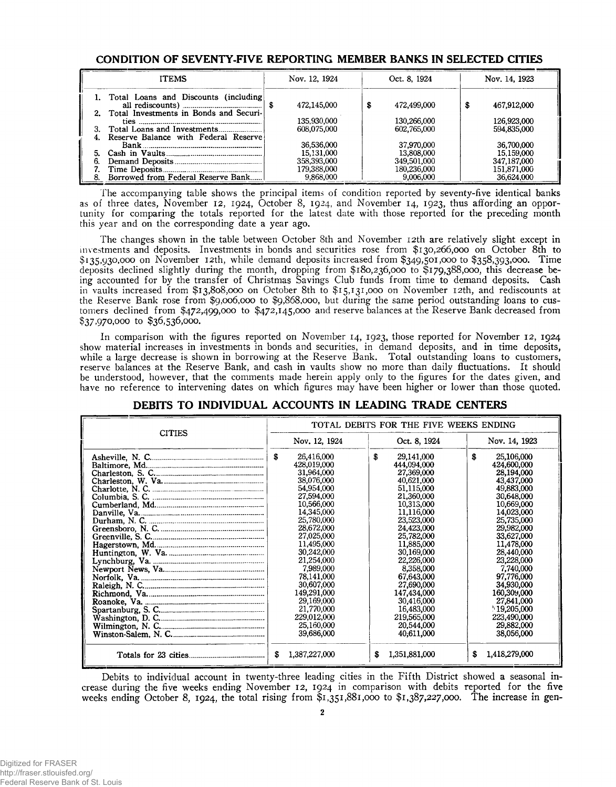#### CONDITION OF SEVENTY-FIVE REPORTING MEMBER BANKS IN SELECTED CITIES

| <b>ITEMS</b>                                                                         | Nov. 12, 1924 | Oct. 8, 1924 | Nov. 14, 1923    |
|--------------------------------------------------------------------------------------|---------------|--------------|------------------|
| 1. Total Loans and Discounts (including<br>2. Total Investments in Bonds and Securi- | 472.145.000   | 472,499,000  | 467,912,000<br>S |
|                                                                                      | 135,930,000   | 130,266,000  | 126,923,000      |
|                                                                                      | 608.075.000   | 602,765,000  | 594,835,000      |
| Reserve Balance with Federal Reserve                                                 |               |              |                  |
|                                                                                      | 36,536,000    | 37,970,000   | 36,700,000       |
|                                                                                      | 15.131,000    | 13,808,000   | 15,159,000       |
|                                                                                      | 358,393,000   | 349,501,000  | 347,187,000      |
|                                                                                      | 179,388,000   | 180,236,000  | 151,871,000      |
| Borrowed from Federal Reserve Bank                                                   | 9.868.000     | 9,006,000    | 36,624,000       |

The accompanying table shows the principal items of condition reported by seventy-five identical banks as of three dates, November 12, 1924, October 8, 1924, and November 14, 1923, thus affording an opportunity for comparing the totals reported for the latest date with those reported for the preceding month this year and on the corresponding date a year ago.

The changes shown in the table between October 8th and November 12th are relatively slight except in investments and deposits. Investments in bonds and securities rose from \$130,266,000 on October 8th to \$135,930,000 on November 12th, while demand deposits increased from \$349,501,000 to \$358,393,000. Time deposits declined slightly during the month, dropping from \$180,236,000 to \$179,388,000, this decrease being accounted for by the transfer of Christmas Savings Club funds from time to demand deposits. Cash in vaults increased from \$13,808,000 on October 8th to \$15,131,000 on November 12th, and rediscounts at the Reserve Bank rose from \$9,006,000 to \$9,868,000, but during the same period outstanding loans to customers declined from \$472,499,000 to \$472,145,000 and reserve balances at the Reserve Bank decreased from \$37,970,000 to \$36,536,000.

In comparison with the figures reported on November 14, 1923, those reported for November 12, 1924 show material increases in investments in bonds and securities, in demand deposits, and in time deposits, while a large decrease is shown in borrowing at the Reserve Bank. Total outstanding loans to customers, reserve balances at the Reserve Bank, and cash in vaults show no more than daily fluctuations. It should be understood, however, that the comments made herein apply only to the figures for the dates given, and have no reference to intervening dates on which figures may have been higher or lower than those quoted.

| <b>CITIES</b> | TOTAL DEBITS FOR THE FIVE WEEKS ENDING                                                                                                                                                                                                                                                     |                                                                                                                                                                                                                                                                                            |                                                                                                                                                                                                                                                                                            |  |  |  |  |  |
|---------------|--------------------------------------------------------------------------------------------------------------------------------------------------------------------------------------------------------------------------------------------------------------------------------------------|--------------------------------------------------------------------------------------------------------------------------------------------------------------------------------------------------------------------------------------------------------------------------------------------|--------------------------------------------------------------------------------------------------------------------------------------------------------------------------------------------------------------------------------------------------------------------------------------------|--|--|--|--|--|
|               | Nov. 12, 1924                                                                                                                                                                                                                                                                              | Oct. 8, 1924                                                                                                                                                                                                                                                                               | Nov. 14, 1923                                                                                                                                                                                                                                                                              |  |  |  |  |  |
|               | S<br>26,416,000<br>428,019,000<br>31,964,000<br>38,076,000<br>54,954,000<br>27,594,000<br>10,566,000<br>14,345,000<br>25,780,000<br>28,672,000<br>27,025,000<br>11,495,000<br>30,242,000<br>21,254,000<br>7,989,000<br>78,141,000<br>30,607,000<br>149,291,000<br>29,169,000<br>21,770,000 | S<br>29,141,000<br>444,094,000<br>27,369,000<br>40,621,000<br>51,115,000<br>21,360,000<br>10,315,000<br>11,116,000<br>23,523,000<br>24,423,000<br>25,782,000<br>11,885,000<br>30,169,000<br>22,226,000<br>8,358,000<br>67,643,000<br>27,690,000<br>147,434,000<br>30,416,000<br>16,483,000 | S<br>25,106,000<br>424,600,000<br>28,194,000<br>43,437,000<br>49,883,000<br>30,648,000<br>10,669,000<br>14,023,000<br>25,735,000<br>29,982,000<br>33,627,000<br>11,478,000<br>28,440,000<br>23,228,000<br>7,740,000<br>97,776,000<br>34,930,000<br>160,309,000<br>27,841,000<br>19,205,000 |  |  |  |  |  |
|               | 229,012,000<br>25,160,000<br>39,686,000                                                                                                                                                                                                                                                    | 219,565,000<br>20,544,000<br>40,611,000                                                                                                                                                                                                                                                    | 223,490,000<br>29,882,000<br>38,056,000                                                                                                                                                                                                                                                    |  |  |  |  |  |
|               | S<br>1,387,227,000                                                                                                                                                                                                                                                                         | 1,351,881,000<br>S                                                                                                                                                                                                                                                                         | 1,418,279,000<br>S                                                                                                                                                                                                                                                                         |  |  |  |  |  |

### DEBITS TO INDIVIDUAL ACCOUNTS IN LEADING TRADE CENTERS

Debits to individual account in twenty-three leading cities in the Fifth District showed a seasonal increase during the five weeks ending November 12, 1924 in comparison with debits reported for the five weeks ending October 8, 1924, the total rising from \$1,351,881,000 to \$1,387,227,000. The increase in gen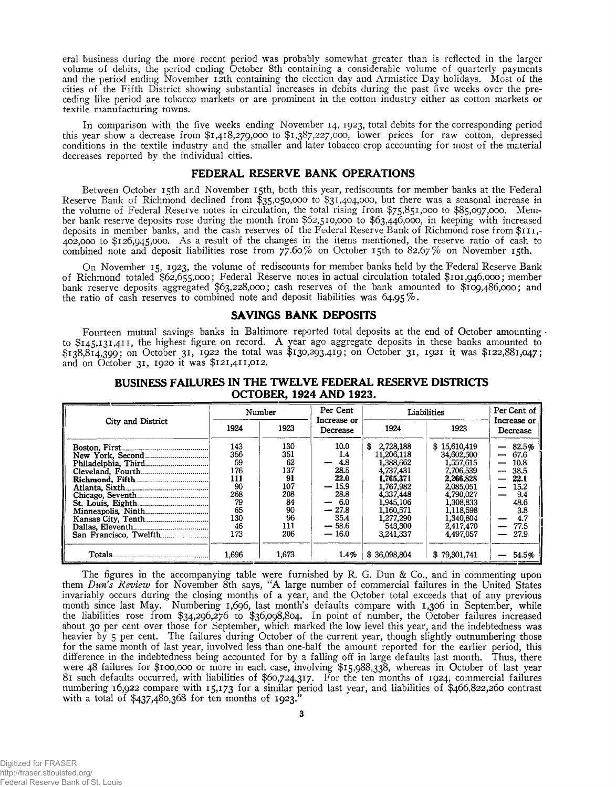eral business during the more recent period was probably somewhat greater than is reflected in the larger volume of debits, the period ending October 8th containing a considerable volume of quarterly payments and the period ending November 12th containing the election day and Armistice Day holidays. Most of the cities of the Fifth District showing substantial increases in debits during the past five weeks over the preceding like period are tobacco markets or are prominent in the cotton industry either as cotton markets or textile manufacturing towns.

In comparison with the five weeks ending November 14, 1923, total debits for the corresponding period this year show a decrease from \$1,418,279,000 to \$1,387,227,000, lower prices for raw cotton, depressed conditions in the textile industry and the smaller and later tobacco crop accounting for most of the material decreases reported by the individual cities.

#### FEDERAL RESERVE BANK OPERATIONS

Between October 15th and November 15th, both this year, rediscounts for member banks at the Federal Reserve Bank of Richmond declined from \$35,050,000 to \$31,404,000, but there was a seasonal increase in the volume of Federal Reserve notes in circulation, the total rising from \$75,851,000 to \$85,097,000. Member bank reserve deposits rose during the month from \$62,510,000 to \$63,446,000, in keeping with increased deposits in member banks, and the cash reserves of the Federal Reserve Bank of Richmond rose from \$111,-402,000 to \$126,945,000. As a result of the changes in the items mentioned, the reserve ratio of cash to combined note and deposit liabilities rose from  $\frac{9}{2}$ .60% on October 15th to 82.67% on November 15th.

On November 15, 1923, the volume of rediscounts for member banks held by the Federal Reserve Bank of Richmond totaled \$62,655,000; Federal Reserve notes in actual circulation totaled \$101,946,000; member bank reserve deposits aggregated \$63,228,000; cash reserves of the bank amounted to \$109,486,000; and the ratio of cash reserves to combined note and deposit liabilities was 64.95%.

#### SAVINGS BANK DEPOSITS

Fourteen mutual savings banks in Baltimore reported total deposits at the end of October amounting · to \$145,131,411, the highest figure on record. A year ago aggregate deposits in these banks amounted to \$138,814,399; on October 31, 1922 the total was \$130,293,419; on October 31, 1921 it was \$122,881,047; and on October 31, 1920 it was \$121,411,012.

|                   |       | Number | Per Cent                         | Liabilities     | Per Cent of  |                                  |  |
|-------------------|-------|--------|----------------------------------|-----------------|--------------|----------------------------------|--|
| City and District | 1924  | 1923   | Increase or<br>Decrease          | 1924            | 1923         | Increase or<br>Decrease          |  |
|                   | 143   | 130    | 10.0                             | 2,728,188<br>s. | \$15,610,419 | 82.5%                            |  |
|                   | 356   | 351    | 1.4                              | 11,206,118      | 34,602,500   | 67.6<br>----                     |  |
|                   | 59    | 62     | 4.8                              | 1.388.662       | 1,557,615    | 10.8                             |  |
|                   | 176   | 137    | 28.5                             | 4,737,431       | 7.706.539    | 38.5<br>---                      |  |
|                   | 111   | 91     | 22.0                             | 1.765.371       | 2.266.828    | 22.1                             |  |
|                   | 90    | 107    | $-15.9$                          | 1.767.982       | 2.085.051    | 15.2<br>$\overline{\phantom{0}}$ |  |
|                   | 268   | 208    | 28.8                             | 4,337,448       | 4.790,027    | 9.4                              |  |
|                   | 79    | 84     | -6.0<br>$\overline{\phantom{0}}$ | 1,945,106       | 1,308,833    | 48.6                             |  |
|                   | 65    | 90     | $-27.8$                          | 1,160,571       | 1,118,598    | 3.8                              |  |
|                   | 130   | 96     | 35.4                             | 1.277.290       | 1.340.804    | 4.7                              |  |
|                   | 46    | 111    | $-58.6$                          | 543,300         | 2.417.470    | 77.5                             |  |
|                   | 173   | 206    | $-16.0$                          | 3,241,337       | 4.497.057    | 27.9                             |  |
| Totals.           | 1.696 | 1.673  | 1.4%                             | \$36,098,804    | \$79,301,741 | 54.5%                            |  |

#### BUSINESS FAILURES IN THE TWELVE FEDERAL RESERVE DISTRICTS OCTOBER, 1924 AND 1923.

The figures in the accompanying table were furnished by R. G. Dun & Co., and in commenting upon them *Dun's Review* for November 8th says, "A large number of commercial failures in the United States invariably occurs during the closing months of a year, and the October total exceeds that of any previous month since last May. Numbering 1,696, last month's defaults compare with 1,306 in September, while the liabilities rose from \$34,296,276 to \$36,098,804. In point of number, the October failures increased about 30 per cent over those for September, which marked the low level this year, and the indebtedness was heavier by 5 per cent. The failures during October of the current year, though slightly outnumbering those for the same month of last year, involved less than one-half the amount reported for the earlier period, this difference in the indebtedness being accounted for by a falling off in large defaults last month. Thus, there were 48 failures for \$100,000 or more in each case, involving \$15,988,338, wrhereas in October of last year 81 such defaults occurred, with liabilities of \$60,724,317. For the ten months of 1924, commercial failures numbering 16,922 compare with 15,173 for a similar period last year, and liabilities of \$466,822,260 contrast with a total of  $\S$ 437,480,368 for ten months of  $1923."$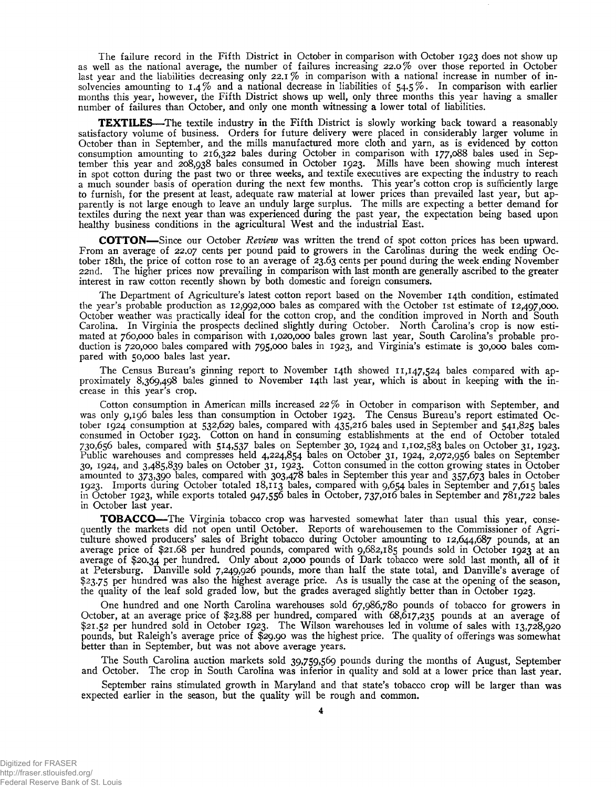The failure record in the Fifth District in October in comparison with October 1923 does not show up as well as the national average, the number of failures increasing 22.0% over those reported in October last year and the liabilities decreasing only  $22.1\%$  in comparison with a national increase in number of insolvencies amounting to  $1.4\%$  and a national decrease in liabilities of  $54.5\%$ . In comparison with earlier months this year, however, the Fifth District shows up well, only three months this year having a smaller number of failures than October, and only one month witnessing a lower total of liabilities.

TEXTILES—The textile industry in the Fifth District is slowly working back toward a reasonably satisfactory volume of business. Orders for future delivery were placed in considerably larger volume in October than in September, and the mills manufactured more cloth and yarn, as is evidenced by cotton consumption amounting to 216,322 bales during October in comparison with 177,088 bales used in September this year and 208,938 bales consumed in October 1923. Mills have been showing much interest in spot cotton during the past two or three weeks, and textile executives are expecting the industry to reach a much sounder basis of operation during the next few months. This year's cotton crop is sufficiently large to furnish, for the present at least, adequate raw material at lower prices than prevailed last year, but apparently is not large enough to leave an unduly large surplus. The mills are expecting a better demand for textiles during the next year than was experienced during the past year, the expectation being based upon healthy business conditions in the agricultural West and the industrial East.

COTTON— Since our October *Review* was written the trend of spot cotton prices has been upward. From an average of 22.07 cents per pound paid to growers in the Carolinas during the week ending October 1 8th, the price of cotton rose to an average of 23.63 cents per pound during the week ending November 22nd. The higher prices now prevailing in comparison with last month are generally ascribed to the greater interest in raw cotton recently shown by both domestic and foreign consumers.

The Department of Agriculture's latest cotton report based on the November 14th condition, estimated the year's probable production as 12,992,000 bales as compared with the October 1st estimate of 12,497,000. October weather was practically ideal for the cotton crop, and the condition improved in North and South Carolina. In Virginia the prospects declined slightly during October. North Carolina's crop is now estimated at 760,000 bales in comparison with 1,020,000 bales grown last year, South Carolina's probable production is 720,000 bales compared with 795,000 bales in 1923, and Virginia's estimate is 30,000 bales compared with 50,000 bales last year.

The Census Bureau's ginning report to November 14th showed 11,147,524 bales compared with approximately 8,369,498 bales ginned to November 14th last year, which is about in keeping with the increase in this year's crop.

Cotton consumption in American mills increased 22% in October in comparison with September, and was only 9,196 bales less than consumption in October 1923. The Census Bureau's report estimated October 1924 consumption at 532,629 bales, compared with 435,216 bales used in September and 541,825 bales consumed in October 1923. Cotton on hand in consuming establishments at the end of October totaled 730,656 bales, compared with 514,537 bales on September 30, 1924 and 1,102,583 bales on October 31, 1923. Public warehouses and compresses held 4,224,854 bales on October 31, 1924, 2,072,956 bales on September 30, 1924, and 3,485,839 bales on October 31, 1923. Cotton consumed in the cotton growing states in October amounted to 373,390 bales, compared with 303,478 bales in September this year and 357,673 bales in October 1923. Imports during October totaled 18 ,113 bales, compared with 9,654 bales in September and 7,615 bales in October 1923, while exports totaled 947,556 bales in October, 737,016 bales in September and 781,722 bales in October last year.

TOBACCO—The Virginia tobacco crop was harvested somewhat later than usual this year, consequently the markets did not open until October. Reports of warehousemen to the Commissioner of Agriculture showed producers' sales of Bright tobacco during October amounting to 12,644,687 pounds, at an average price of \$21.68 per hundred pounds, compared with 9,682,185 pounds sold in October 1923 at an average of \$20.34 per hundred. Only about 2,000 pounds of Dark tobacco were sold last month, all of it at Petersburg. Danville sold 7,249,926 pounds, more than half the state total, and Danville's average of \$23.75 per hundred was also the highest average price. As is usually the case at the opening of the season, the quality of the leaf sold graded low, but the grades averaged slightly better than in October 1923.

One hundred and one North Carolina warehouses sold 67,986,780 pounds of tobacco for growers in October, at an average price of \$23.88 per hundred, compared with 68,617,235 pounds at an average of \$21.52 per hundred sold in October 1923. The Wilson warehouses led in volume of sales with 13,728,920 pounds, but Raleigh's average price of \$29.90 was the highest price. The quality of offerings was somewhat better than in September, but was not above average years.

The South Carolina auction markets sold 39,759,569 pounds during the months of August, September and October. The crop in South Carolina was inferior in quality and sold at a lower price than last year.

September rains stimulated growth in Maryland and that state's tobacco crop will be larger than was expected earlier in the season, but the quality will be rough and common.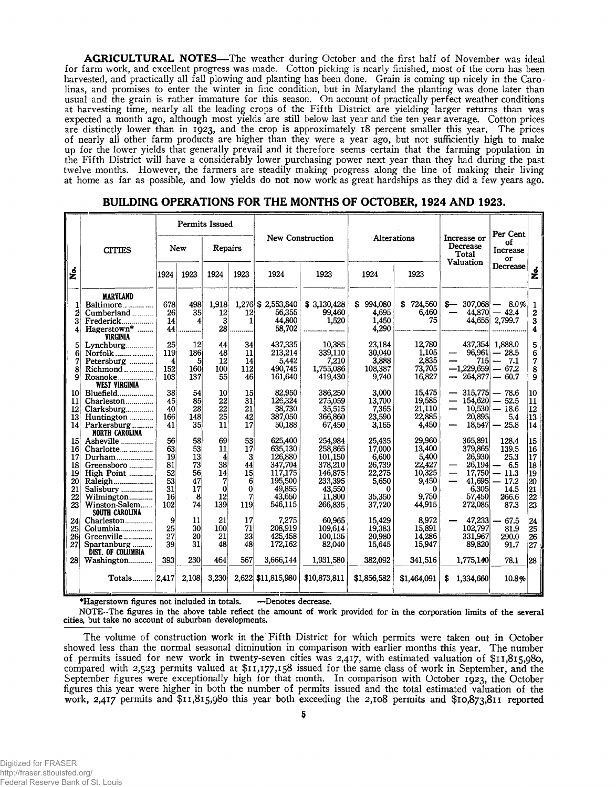AGRICULTURAL NOTES—The weather during October and the first half of November was ideal for farm work, and excellent progress was made. Cotton picking is nearly finished, most of the corn has been harvested, and practically all fall plowing and planting has been done. Grain is coming up nicely in the Carolinas, and promises to enter the winter in fine condition, but in Maryland the planting was done later than usual and the grain is rather immature for this season. On account of practically perfect weather conditions at harvesting time, nearly all the leading crops of the Fifth District are yielding larger returns than was expected a month ago, although most yields are still below last year and the ten year average. Cotton prices are distinctly lower than in 1923, and the crop is approximately 18 percent smaller this year. The prices of nearly all other farm products are higher than they were a year ago, but not sufficiently high to make up for the lower yields that generally prevail and it therefore seems certain that the farming population in the Fifth District will have a considerably lower purchasing power next year than they had during the past twelve months. However, the farmers are steadily making progress along the line of making their living at home as far as possible, and low yields do not now work as great hardships as they did a few years ago.

|                                                                                   |                                                                                                                             | <b>Permits Issued</b>                               |                                                   |                                                         |                                                 |                                                                                               |                                                                                               |                                                                                 |                                                                                       | Per Cent                                                                                                                   |                                                                                                 |                                                     |
|-----------------------------------------------------------------------------------|-----------------------------------------------------------------------------------------------------------------------------|-----------------------------------------------------|---------------------------------------------------|---------------------------------------------------------|-------------------------------------------------|-----------------------------------------------------------------------------------------------|-----------------------------------------------------------------------------------------------|---------------------------------------------------------------------------------|---------------------------------------------------------------------------------------|----------------------------------------------------------------------------------------------------------------------------|-------------------------------------------------------------------------------------------------|-----------------------------------------------------|
|                                                                                   | <b>CITIES</b>                                                                                                               | New                                                 |                                                   | Repairs                                                 |                                                 |                                                                                               | New Construction                                                                              | Alterations                                                                     |                                                                                       | Increase or<br>Decrease<br>Total                                                                                           | οf<br>Increase<br>or                                                                            |                                                     |
| ş                                                                                 |                                                                                                                             | 1924                                                | 1923                                              | 1924                                                    | 1923                                            | 1924                                                                                          | 1923                                                                                          | 1924                                                                            | 1923                                                                                  | Valuation                                                                                                                  | Decrease                                                                                        | ş                                                   |
| 2                                                                                 | MARYLAND<br>Baltimore<br>Cumberland<br>Frederick<br>Hagerstown*<br><b>VIRGINIA</b>                                          | 678<br>26<br>14<br>44                               | 498<br>35<br>4                                    | 1,918<br>12<br>$\mathbf{3}$<br>28 <sup>1</sup>          | 12<br>1                                         | 1,276 \$ 2,553,840<br>56,355<br>44.800<br>58.702                                              | \$3,130,428<br>99,460<br>1,520                                                                | 994,080<br>S<br>4,695<br>1,450<br>4,290                                         | \$724,560<br>6,460<br>75                                                              | $\begin{array}{r} -8.07668 - 8.0\% \\ -44,870 - 42.4 \end{array}$                                                          | 44,655 2,799.7                                                                                  | 1<br>2<br>3<br>4                                    |
| 6<br>8<br>9                                                                       | Lynchburg<br>Norfolk<br>Petersburg<br>Richmond<br>Roanoke<br><b>WEST VIRGINIA</b>                                           | 25<br>119<br>4<br>152<br>103                        | 12<br>186<br>51<br>160<br>137                     | 44<br>48<br>12<br>100<br>55                             | 34<br>11<br>14<br>112<br>46                     | 437,335<br>213.214<br>5.442<br>490,745<br>161,640                                             | 10,385<br>339,110<br>7,210<br>1,755,086<br>419,430                                            | 23,184<br>30.040<br>3.888<br>108,387<br>9,740                                   | 12,780<br>1,105<br>2,835<br>73,705<br>16,827                                          | $\overline{\phantom{0}}$<br>715<br>$-1.229.659 - 67.2$<br>$\overline{\phantom{0}}$                                         | 437,354 1,888.0<br>$96,961 - 28.5$<br>$-7.1$<br>$264,877 - 60.7$                                | 5<br>6<br>7<br>8<br>9                               |
| 10 <sup>1</sup><br>11<br> 12 <br>13<br>14                                         | Bluefield<br>Charleston<br>Clarksburg<br>Huntington<br>Parkersburg<br>NORTH CAROLINA                                        | 38<br>45<br>40<br>166<br>41                         | 54<br>85<br>28<br>148<br>35                       | 10<br>22<br>22<br>25<br>11                              | 15<br>31<br>21<br>42<br>17                      | 82,950<br>126,324<br>38,730<br>387,050<br>50,188                                              | 386,250<br>275,059<br>35,515<br>366,860<br>67,450                                             | 3,000<br>13,700<br>7,365<br>23,590<br>3,165                                     | 15,475<br>19,585<br>21,110<br>22,885<br>4,450                                         | $-315,775 - 78.6$<br>$\overline{\phantom{0}}$<br>$\qquad \qquad \qquad$<br>20,895                                          | $154,620 - 52.5$<br>$10,530 - 18.6$<br>5.4<br>$18,547 - 25.8$                                   | 10<br> 11<br>12<br>13<br>14                         |
| 15 <sup>1</sup><br>16 <sup>l</sup><br>$17 \,$<br>18<br>19<br>20<br>21<br>22<br>23 | Asheville<br>Charlotte<br>Greensboro<br>High Point<br>Raleigh<br>Salisbury<br>Wilmington<br>Winston-Salem<br>SOUTH CAROLINA | 56<br>63<br>19<br>81<br>52<br>53<br>31<br>16<br>102 | 58<br>53<br>13<br>73<br>56<br>47<br>17<br>8<br>74 | 69<br>11<br>4<br>38<br>14<br>7<br>$\Omega$<br>12<br>139 | 53<br>17<br>3<br>44<br>15<br>6<br>0<br>7<br>119 | 625,400<br>635,130<br>126,880<br>347.704<br>117,175<br>195,500<br>49,855<br>43,650<br>546,115 | 254.984<br>258,865<br>101,150<br>378,210<br>146,875<br>233,395<br>43,550<br>11,800<br>266,835 | 25,435<br>17,000<br>6.600<br>26,739<br>22,275<br>5,650<br>0<br>35.350<br>37,720 | 29,960<br>13,400<br>5,400<br>22,427<br>10,325<br>9,450<br>$\bf{0}$<br>9,750<br>44,915 | 365,891<br>379,865<br>26,930<br>26,194<br>$\qquad \qquad \qquad$<br>$\overline{\phantom{0}}$<br>6.305<br>57,450<br>272,085 | 128.4<br>139.5<br>25.3<br>$-6.5$<br>$17,750 - 11.3$<br>$41,695 - 17.2$<br>14.5<br>266.6<br>87.3 | 15<br>16<br> 17<br>18<br>19<br>20<br>21<br>22<br>23 |
| 24<br>25 <sub>l</sub><br>26 <sup>1</sup><br>27                                    | Charleston<br>Columbia<br>Greenville<br>Spartanburg<br><b>DIST. OF COLUMBIA</b>                                             | 9<br>25<br>27<br>39                                 | 11<br>30<br>20<br>31                              | 21<br>100<br>21<br>48                                   | 17<br>71<br>23<br>48                            | 7.275<br>208,919<br>425.458<br>172.162                                                        | 60.965<br>109,614<br>100,135<br>82,040                                                        | 15,429<br>19,383<br>20,980<br>15,645                                            | 8,972<br>15,891<br>14.286<br>15,947                                                   | 47.233<br>—<br>102,797<br>331,967<br>89,820                                                                                | $-67.5$<br>81.9<br>290.0<br>91.7                                                                | 24<br>25<br>26<br>27                                |
| 28                                                                                | Washington<br>Totals   2,417                                                                                                | 393                                                 | 230<br>2,108                                      | 464<br>3,230                                            | 567                                             | 3,666,144<br>2,622 \$11,815,980                                                               | 1,931,580<br>\$10,873,811                                                                     | 382,092<br>\$1,856,582                                                          | 341,516<br>\$1,464,091                                                                | 1,775,140<br>1,334,660<br>S.                                                                                               | 78.1<br>10.8%                                                                                   | 28                                                  |

#### BUILDING OPERATIONS FOR THE MONTHS OF OCTOBER, 1924 AND 1923.

♦Hagerstown figures not included in totals. —Denotes decrease.

NOTE-The figures in the above table reflect the amount of work provided for in the corporation limits of the several cities, but take no account of suburban developments.

The volume of construction work in the Fifth District for which permits were taken out in October showed less than the normal seasonal diminution in comparison with earlier months this year. The number of permits issued for new work in twenty-seven cities was 2,417, with estimated valuation of \$11,815,980, compared with 2,523 permits valued at \$11,177,158 issued for the same class of work in September, and the September figures were exceptionally high for that month. In comparison with October 1923, the October figures this year were higher in both the number of permits issued and the total estimated valuation of the work, 2,417 permits and \$11,815,980 this year both exceeding the 2,108 permits and \$10,873,811 reported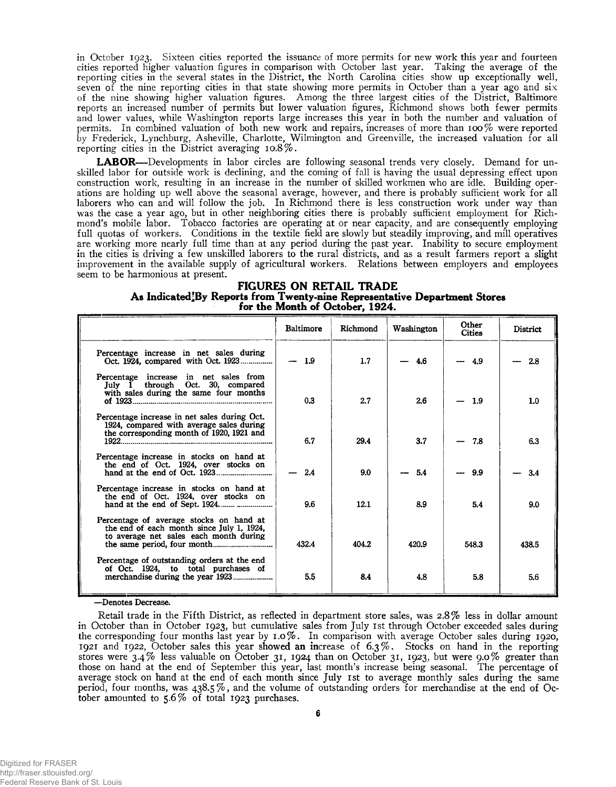in October 1923. Sixteen cities reported the issuance of more permits for new work this year and fourteen cities reported higher valuation figures in comparison with October last year. Taking the average of the reporting cities in the several states in the District, the North Carolina cities show up exceptionally well, seven of the nine reporting cities in that state showing more permits in October than a year ago and six of the nine showing higher valuation figures. Among the three largest cities of the District, Baltimore reports an increased number of permits but lower valuation figures, Richmond shows both fewer permits and lower values, while Washington reports large increases this year in both the number and valuation of permits. In combined valuation of both new work and repairs, increases of more than 100% were reported by Frederick, Lynchburg, Asheville, Charlotte, Wilmington and Greenville, the increased valuation for all reporting cities in the District averaging  $10.8\%$ .

LABOR—Developments in labor circles are following seasonal trends very closely. Demand for unskilled labor for outside work is declining, and the coming of fall is having the usual depressing effect upon construction work, resulting in an increase in the number of skilled workmen who are idle. Building operations are holding up well above the seasonal average, however, and there is probably sufficient work for all laborers who can and will follow the job. In Richmond there is less construction work under way than was the case a year ago, but in other neighboring cities there is probably sufficient employment for Richmond's mobile labor. Tobacco factories are operating at or near capacity, and are consequently employing full quotas of workers. Conditions in the textile field are slowly but steadily improving, and mill operatives are working more nearly full time than at any period during the past year. Inability to secure employment in the cities is driving a few unskilled laborers to the rural districts, and as a result farmers report a slight improvement in the available supply of agricultural workers. Relations between employers and employees seem to be harmonious at present.

#### FIGURES ON RETAIL TRADE As Indicated'By Reports from Twenty-nine Representative Department Stores for the Month of October, 1924.

|                                                                                                                                       | <b>Baltimore</b> | Richmond | Washington | Other<br><b>Cities</b> | District         |
|---------------------------------------------------------------------------------------------------------------------------------------|------------------|----------|------------|------------------------|------------------|
| Percentage increase in net sales during<br>Oct. 1924, compared with Oct. 1923                                                         | $-1.9$           | 1.7      | 4.6        | $-4.9$                 | 2.8              |
| Percentage increase in net sales from<br>July 1 through Oct. 30, compared<br>with sales during the same four months<br>of $1923$      | 0.3              | 2.7      | 2.6        | 1.9                    | 1.0 <sub>1</sub> |
| Percentage increase in net sales during Oct.<br>1924, compared with average sales during<br>the corresponding month of 1920, 1921 and | 6.7              | 29.4     | 3.7        | 7.8                    | 63               |
| Percentage increase in stocks on hand at<br>the end of Oct. 1924, over stocks on                                                      | 2.4              | 9.0      | 54         | 9.9                    | 3.4              |
| Percentage increase in stocks on hand at<br>the end of Oct. 1924, over stocks on                                                      | 9.6              | 12.1     | 8.9        | 5.4                    | 9.0              |
| Percentage of average stocks on hand at<br>the end of each month since July 1, 1924,<br>to average net sales each month during        | 432.4            | 404.2    | 420.9      | 548.3                  | 438.5            |
| Percentage of outstanding orders at the end<br>of Oct. 1924, to total purchases of                                                    | 5.5              | 8.4      | 4.8        | 5.8                    | 5.6              |

—Denotes Decrease.

Retail trade in the Fifth District, as reflected in department store sales, was 2.8% less in dollar amount in October than in October 1923, but cumulative sales from July 1st through October exceeded sales during the corresponding four months last year by 1.0%. In comparison with average October sales during 1920, 1921 and 1922, October sales this year showed an increase of 6.3% . Stocks on hand in the reporting stores were 3.4% less valuable on October 31, 1924 than on October 31, 1923, but were 9.0% greater than those on hand at the end of September this year, last month's increase being seasonal. The percentage of average stock on hand at the end of each month since July 1st to average monthly sales during the same period, four months, was 438.5 % , and the volume of outstanding orders for merchandise at the end of October amounted to 5.6% of total 1923 purchases.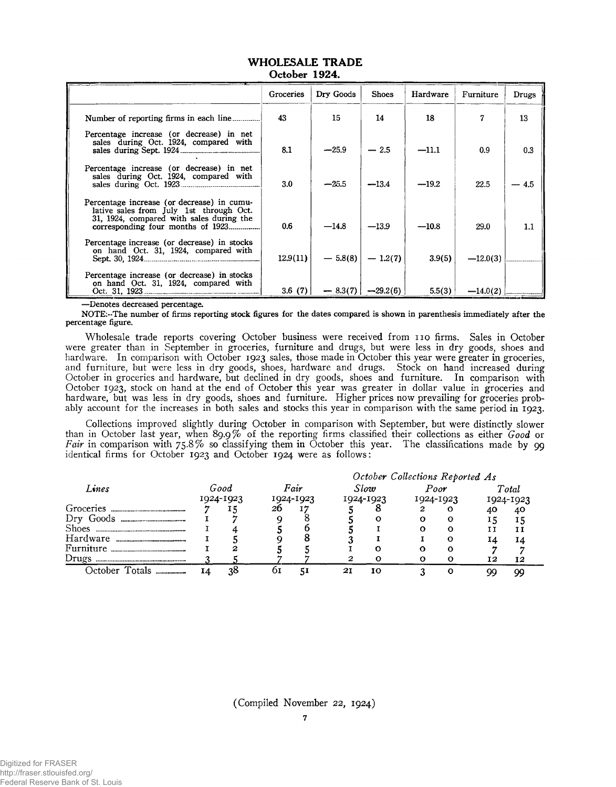|                                                                                                                                   | Groceries | Dry Goods | <b>Shoes</b>         | Hardware | Furniture  | Drugs  |
|-----------------------------------------------------------------------------------------------------------------------------------|-----------|-----------|----------------------|----------|------------|--------|
|                                                                                                                                   | 43        | 15        | 14                   | 18       | 7          | 13     |
| Percentage increase (or decrease) in net<br>sales during Oct. 1924, compared with                                                 | 8.1       | $-25.9$   | $-2.5$               | $-11.1$  | 0.9        | 0.3    |
| Percentage increase (or decrease) in net<br>sales during Oct. 1924, compared with                                                 | 3.0       | $-25.5$   | $-13.4$              | $-19.2$  | 22.5       | $-4.5$ |
| Percentage increase (or decrease) in cumu-<br>lative sales from July 1st through Oct.<br>31, 1924, compared with sales during the | 0.6       | $-14.8$   | $-13.9$              | $-10.8$  | 29.0       | 1.1    |
| Percentage increase (or decrease) in stocks<br>on hand Oct. 31, 1924, compared with                                               | 12.9(11)  |           | $-5.8(8)$ $-1.2(7)$  | 3.9(5)   | $-12.0(3)$ |        |
| Percentage increase (or decrease) in stocks<br>on hand Oct. 31, 1924, compared with                                               | 3.6(7)    |           | $-8.3(7)$ $-29.2(6)$ | 5.5(3)   |            |        |

#### WHOLESALE TRADE October 1924.

—Denotes decreased percentage.

NOTE:-The number of firms reporting stock figures for the dates compared is shown in parenthesis immediately after the percentage figure.

Wholesale trade reports covering October business were received from 110 firms. Sales in October were greater than in September in groceries, furniture and drugs, but were less in dry goods, shoes and hardware. In comparison with October 1923 sales, those made in October this year were greater in groceries, and furniture, but were less in dry goods, shoes, hardware and drugs. Stock on hand increased during October in groceries and hardware, but declined in dry goods, shoes and furniture. In comparison with October 1923, stock on hand at the end of October this year was greater in dollar value in groceries and hardware, but was less in dry goods, shoes and furniture. Higher prices now prevailing for groceries probably account for the increases in both sales and stocks this year in comparison with the same period in 1923.

Collections improved slightly during October in comparison with September, but were distinctly slower than in October last year, when 89.9% of the reporting firms classified their collections as either *Good* or Fair in comparison with 75.8% so classifying them in October this year. The classifications made by 99 identical firms for October 1923 and October 1924 were as follows:

|                                                     |                   |    | October Collections Reported As |    |           |              |           |      |           |       |  |
|-----------------------------------------------------|-------------------|----|---------------------------------|----|-----------|--------------|-----------|------|-----------|-------|--|
| Lines                                               | Good<br>1924-1923 |    | Fair<br>1924-1923               |    |           | Slow         |           | Poor |           | Total |  |
|                                                     |                   |    |                                 |    | 1924-1923 |              | 1924-1923 |      | 1924-1923 |       |  |
| Groceries<br>                                       |                   |    | 26                              |    |           |              |           | о    | 40        | 40    |  |
| Dry Goods<br>-------------------------------------- |                   |    |                                 |    |           | $\mathbf{o}$ |           | о    | 15        |       |  |
| <b>Shoes</b><br>--------------------------------    |                   |    |                                 |    |           |              |           | о    | נ ז       | 11    |  |
| Hardware                                            |                   |    |                                 |    |           |              |           | о    | I4        | 14    |  |
| Furniture                                           |                   | 2  |                                 |    |           | Ω            |           | Ω    |           |       |  |
| Drugs                                               |                   |    |                                 |    | 2         |              |           | ი    | 12        | 12    |  |
| October Totals.                                     | Ι4                | 38 | 61                              | 51 | 21        | 10           |           | O    | $\alpha$  | 99    |  |

(Compiled November 22, 1924)